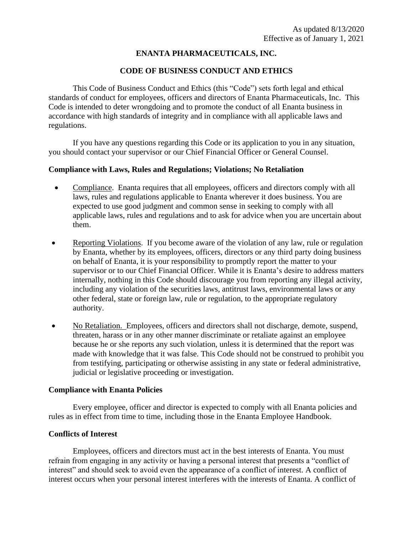# **ENANTA PHARMACEUTICALS, INC.**

# **CODE OF BUSINESS CONDUCT AND ETHICS**

This Code of Business Conduct and Ethics (this "Code") sets forth legal and ethical standards of conduct for employees, officers and directors of Enanta Pharmaceuticals, Inc. This Code is intended to deter wrongdoing and to promote the conduct of all Enanta business in accordance with high standards of integrity and in compliance with all applicable laws and regulations.

If you have any questions regarding this Code or its application to you in any situation, you should contact your supervisor or our Chief Financial Officer or General Counsel.

## **Compliance with Laws, Rules and Regulations; Violations; No Retaliation**

- Compliance. Enanta requires that all employees, officers and directors comply with all laws, rules and regulations applicable to Enanta wherever it does business. You are expected to use good judgment and common sense in seeking to comply with all applicable laws, rules and regulations and to ask for advice when you are uncertain about them.
- Reporting Violations. If you become aware of the violation of any law, rule or regulation by Enanta, whether by its employees, officers, directors or any third party doing business on behalf of Enanta, it is your responsibility to promptly report the matter to your supervisor or to our Chief Financial Officer. While it is Enanta's desire to address matters internally, nothing in this Code should discourage you from reporting any illegal activity, including any violation of the securities laws, antitrust laws, environmental laws or any other federal, state or foreign law, rule or regulation, to the appropriate regulatory authority.
- No Retaliation. Employees, officers and directors shall not discharge, demote, suspend, threaten, harass or in any other manner discriminate or retaliate against an employee because he or she reports any such violation, unless it is determined that the report was made with knowledge that it was false. This Code should not be construed to prohibit you from testifying, participating or otherwise assisting in any state or federal administrative, judicial or legislative proceeding or investigation.

### **Compliance with Enanta Policies**

Every employee, officer and director is expected to comply with all Enanta policies and rules as in effect from time to time, including those in the Enanta Employee Handbook.

## **Conflicts of Interest**

Employees, officers and directors must act in the best interests of Enanta. You must refrain from engaging in any activity or having a personal interest that presents a "conflict of interest" and should seek to avoid even the appearance of a conflict of interest. A conflict of interest occurs when your personal interest interferes with the interests of Enanta. A conflict of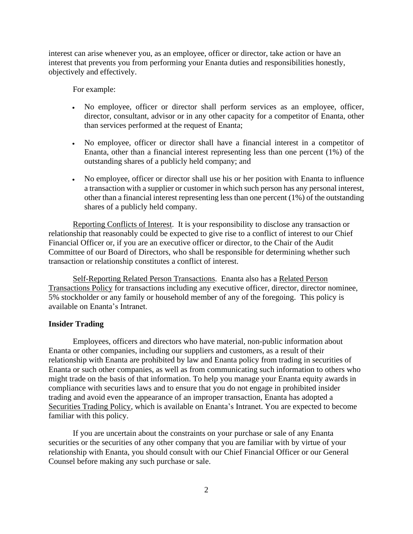interest can arise whenever you, as an employee, officer or director, take action or have an interest that prevents you from performing your Enanta duties and responsibilities honestly, objectively and effectively.

For example:

- No employee, officer or director shall perform services as an employee, officer, director, consultant, advisor or in any other capacity for a competitor of Enanta, other than services performed at the request of Enanta;
- No employee, officer or director shall have a financial interest in a competitor of Enanta, other than a financial interest representing less than one percent (1%) of the outstanding shares of a publicly held company; and
- No employee, officer or director shall use his or her position with Enanta to influence a transaction with a supplier or customer in which such person has any personal interest, other than a financial interest representing less than one percent (1%) of the outstanding shares of a publicly held company.

Reporting Conflicts of Interest. It is your responsibility to disclose any transaction or relationship that reasonably could be expected to give rise to a conflict of interest to our Chief Financial Officer or, if you are an executive officer or director, to the Chair of the Audit Committee of our Board of Directors, who shall be responsible for determining whether such transaction or relationship constitutes a conflict of interest.

Self-Reporting Related Person Transactions. Enanta also has a Related Person Transactions Policy for transactions including any executive officer, director, director nominee, 5% stockholder or any family or household member of any of the foregoing. This policy is available on Enanta's Intranet.

#### **Insider Trading**

Employees, officers and directors who have material, non-public information about Enanta or other companies, including our suppliers and customers, as a result of their relationship with Enanta are prohibited by law and Enanta policy from trading in securities of Enanta or such other companies, as well as from communicating such information to others who might trade on the basis of that information. To help you manage your Enanta equity awards in compliance with securities laws and to ensure that you do not engage in prohibited insider trading and avoid even the appearance of an improper transaction, Enanta has adopted a Securities Trading Policy, which is available on Enanta's Intranet. You are expected to become familiar with this policy.

If you are uncertain about the constraints on your purchase or sale of any Enanta securities or the securities of any other company that you are familiar with by virtue of your relationship with Enanta, you should consult with our Chief Financial Officer or our General Counsel before making any such purchase or sale.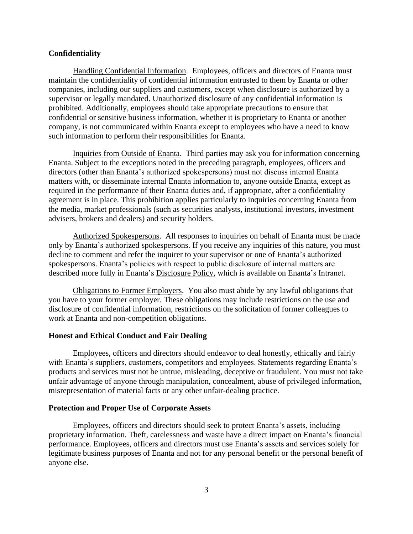### **Confidentiality**

Handling Confidential Information. Employees, officers and directors of Enanta must maintain the confidentiality of confidential information entrusted to them by Enanta or other companies, including our suppliers and customers, except when disclosure is authorized by a supervisor or legally mandated. Unauthorized disclosure of any confidential information is prohibited. Additionally, employees should take appropriate precautions to ensure that confidential or sensitive business information, whether it is proprietary to Enanta or another company, is not communicated within Enanta except to employees who have a need to know such information to perform their responsibilities for Enanta.

Inquiries from Outside of Enanta. Third parties may ask you for information concerning Enanta. Subject to the exceptions noted in the preceding paragraph, employees, officers and directors (other than Enanta's authorized spokespersons) must not discuss internal Enanta matters with, or disseminate internal Enanta information to, anyone outside Enanta, except as required in the performance of their Enanta duties and, if appropriate, after a confidentiality agreement is in place. This prohibition applies particularly to inquiries concerning Enanta from the media, market professionals (such as securities analysts, institutional investors, investment advisers, brokers and dealers) and security holders.

Authorized Spokespersons. All responses to inquiries on behalf of Enanta must be made only by Enanta's authorized spokespersons. If you receive any inquiries of this nature, you must decline to comment and refer the inquirer to your supervisor or one of Enanta's authorized spokespersons. Enanta's policies with respect to public disclosure of internal matters are described more fully in Enanta's Disclosure Policy, which is available on Enanta's Intranet.

Obligations to Former Employers. You also must abide by any lawful obligations that you have to your former employer. These obligations may include restrictions on the use and disclosure of confidential information, restrictions on the solicitation of former colleagues to work at Enanta and non-competition obligations.

#### **Honest and Ethical Conduct and Fair Dealing**

Employees, officers and directors should endeavor to deal honestly, ethically and fairly with Enanta's suppliers, customers, competitors and employees. Statements regarding Enanta's products and services must not be untrue, misleading, deceptive or fraudulent. You must not take unfair advantage of anyone through manipulation, concealment, abuse of privileged information, misrepresentation of material facts or any other unfair-dealing practice.

#### **Protection and Proper Use of Corporate Assets**

Employees, officers and directors should seek to protect Enanta's assets, including proprietary information. Theft, carelessness and waste have a direct impact on Enanta's financial performance. Employees, officers and directors must use Enanta's assets and services solely for legitimate business purposes of Enanta and not for any personal benefit or the personal benefit of anyone else.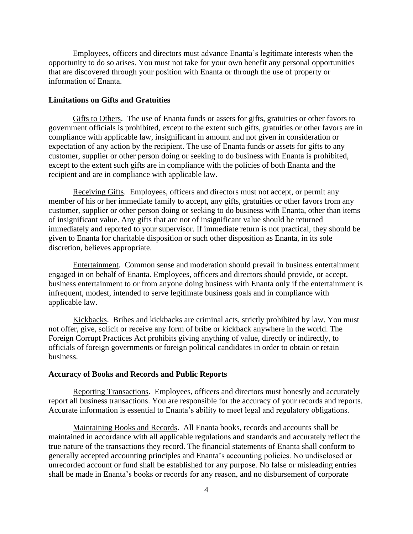Employees, officers and directors must advance Enanta's legitimate interests when the opportunity to do so arises. You must not take for your own benefit any personal opportunities that are discovered through your position with Enanta or through the use of property or information of Enanta.

### **Limitations on Gifts and Gratuities**

Gifts to Others. The use of Enanta funds or assets for gifts, gratuities or other favors to government officials is prohibited, except to the extent such gifts, gratuities or other favors are in compliance with applicable law, insignificant in amount and not given in consideration or expectation of any action by the recipient. The use of Enanta funds or assets for gifts to any customer, supplier or other person doing or seeking to do business with Enanta is prohibited, except to the extent such gifts are in compliance with the policies of both Enanta and the recipient and are in compliance with applicable law.

Receiving Gifts. Employees, officers and directors must not accept, or permit any member of his or her immediate family to accept, any gifts, gratuities or other favors from any customer, supplier or other person doing or seeking to do business with Enanta, other than items of insignificant value. Any gifts that are not of insignificant value should be returned immediately and reported to your supervisor. If immediate return is not practical, they should be given to Enanta for charitable disposition or such other disposition as Enanta, in its sole discretion, believes appropriate.

Entertainment. Common sense and moderation should prevail in business entertainment engaged in on behalf of Enanta. Employees, officers and directors should provide, or accept, business entertainment to or from anyone doing business with Enanta only if the entertainment is infrequent, modest, intended to serve legitimate business goals and in compliance with applicable law.

Kickbacks. Bribes and kickbacks are criminal acts, strictly prohibited by law. You must not offer, give, solicit or receive any form of bribe or kickback anywhere in the world. The Foreign Corrupt Practices Act prohibits giving anything of value, directly or indirectly, to officials of foreign governments or foreign political candidates in order to obtain or retain business.

#### **Accuracy of Books and Records and Public Reports**

Reporting Transactions. Employees, officers and directors must honestly and accurately report all business transactions. You are responsible for the accuracy of your records and reports. Accurate information is essential to Enanta's ability to meet legal and regulatory obligations.

Maintaining Books and Records. All Enanta books, records and accounts shall be maintained in accordance with all applicable regulations and standards and accurately reflect the true nature of the transactions they record. The financial statements of Enanta shall conform to generally accepted accounting principles and Enanta's accounting policies. No undisclosed or unrecorded account or fund shall be established for any purpose. No false or misleading entries shall be made in Enanta's books or records for any reason, and no disbursement of corporate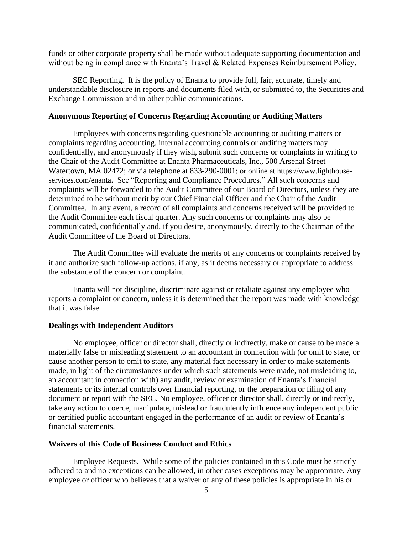funds or other corporate property shall be made without adequate supporting documentation and without being in compliance with Enanta's Travel & Related Expenses Reimbursement Policy.

SEC Reporting. It is the policy of Enanta to provide full, fair, accurate, timely and understandable disclosure in reports and documents filed with, or submitted to, the Securities and Exchange Commission and in other public communications.

#### **Anonymous Reporting of Concerns Regarding Accounting or Auditing Matters**

Employees with concerns regarding questionable accounting or auditing matters or complaints regarding accounting, internal accounting controls or auditing matters may confidentially, and anonymously if they wish, submit such concerns or complaints in writing to the Chair of the Audit Committee at Enanta Pharmaceuticals, Inc., 500 Arsenal Street Watertown, MA 02472; or via telephone at 833-290-0001; or online at https://www.lighthouseservices.com/enanta**.** See "Reporting and Compliance Procedures." All such concerns and complaints will be forwarded to the Audit Committee of our Board of Directors, unless they are determined to be without merit by our Chief Financial Officer and the Chair of the Audit Committee. In any event, a record of all complaints and concerns received will be provided to the Audit Committee each fiscal quarter. Any such concerns or complaints may also be communicated, confidentially and, if you desire, anonymously, directly to the Chairman of the Audit Committee of the Board of Directors.

The Audit Committee will evaluate the merits of any concerns or complaints received by it and authorize such follow-up actions, if any, as it deems necessary or appropriate to address the substance of the concern or complaint.

Enanta will not discipline, discriminate against or retaliate against any employee who reports a complaint or concern, unless it is determined that the report was made with knowledge that it was false.

#### **Dealings with Independent Auditors**

No employee, officer or director shall, directly or indirectly, make or cause to be made a materially false or misleading statement to an accountant in connection with (or omit to state, or cause another person to omit to state, any material fact necessary in order to make statements made, in light of the circumstances under which such statements were made, not misleading to, an accountant in connection with) any audit, review or examination of Enanta's financial statements or its internal controls over financial reporting, or the preparation or filing of any document or report with the SEC. No employee, officer or director shall, directly or indirectly, take any action to coerce, manipulate, mislead or fraudulently influence any independent public or certified public accountant engaged in the performance of an audit or review of Enanta's financial statements.

#### **Waivers of this Code of Business Conduct and Ethics**

Employee Requests. While some of the policies contained in this Code must be strictly adhered to and no exceptions can be allowed, in other cases exceptions may be appropriate. Any employee or officer who believes that a waiver of any of these policies is appropriate in his or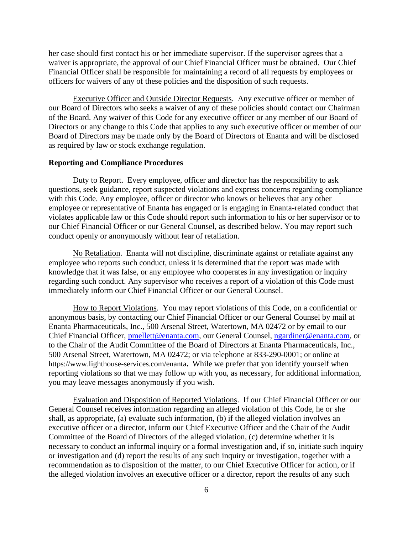her case should first contact his or her immediate supervisor. If the supervisor agrees that a waiver is appropriate, the approval of our Chief Financial Officer must be obtained. Our Chief Financial Officer shall be responsible for maintaining a record of all requests by employees or officers for waivers of any of these policies and the disposition of such requests.

Executive Officer and Outside Director Requests. Any executive officer or member of our Board of Directors who seeks a waiver of any of these policies should contact our Chairman of the Board. Any waiver of this Code for any executive officer or any member of our Board of Directors or any change to this Code that applies to any such executive officer or member of our Board of Directors may be made only by the Board of Directors of Enanta and will be disclosed as required by law or stock exchange regulation.

#### **Reporting and Compliance Procedures**

Duty to Report. Every employee, officer and director has the responsibility to ask questions, seek guidance, report suspected violations and express concerns regarding compliance with this Code. Any employee, officer or director who knows or believes that any other employee or representative of Enanta has engaged or is engaging in Enanta-related conduct that violates applicable law or this Code should report such information to his or her supervisor or to our Chief Financial Officer or our General Counsel, as described below. You may report such conduct openly or anonymously without fear of retaliation.

No Retaliation. Enanta will not discipline, discriminate against or retaliate against any employee who reports such conduct, unless it is determined that the report was made with knowledge that it was false, or any employee who cooperates in any investigation or inquiry regarding such conduct. Any supervisor who receives a report of a violation of this Code must immediately inform our Chief Financial Officer or our General Counsel.

How to Report Violations. You may report violations of this Code, on a confidential or anonymous basis, by contacting our Chief Financial Officer or our General Counsel by mail at Enanta Pharmaceuticals, Inc., 500 Arsenal Street, Watertown, MA 02472 or by email to our Chief Financial Officer, [pmellett@enanta.com,](mailto:pmellett@enanta.com) our General Counsel, [ngardiner@enanta.com,](mailto:ngardiner@enanta.com) or to the Chair of the Audit Committee of the Board of Directors at Enanta Pharmaceuticals, Inc., 500 Arsenal Street, Watertown, MA 02472; or via telephone at 833-290-0001; or online at https://www.lighthouse-services.com/enanta**.** While we prefer that you identify yourself when reporting violations so that we may follow up with you, as necessary, for additional information, you may leave messages anonymously if you wish.

Evaluation and Disposition of Reported Violations. If our Chief Financial Officer or our General Counsel receives information regarding an alleged violation of this Code, he or she shall, as appropriate, (a) evaluate such information, (b) if the alleged violation involves an executive officer or a director, inform our Chief Executive Officer and the Chair of the Audit Committee of the Board of Directors of the alleged violation, (c) determine whether it is necessary to conduct an informal inquiry or a formal investigation and, if so, initiate such inquiry or investigation and (d) report the results of any such inquiry or investigation, together with a recommendation as to disposition of the matter, to our Chief Executive Officer for action, or if the alleged violation involves an executive officer or a director, report the results of any such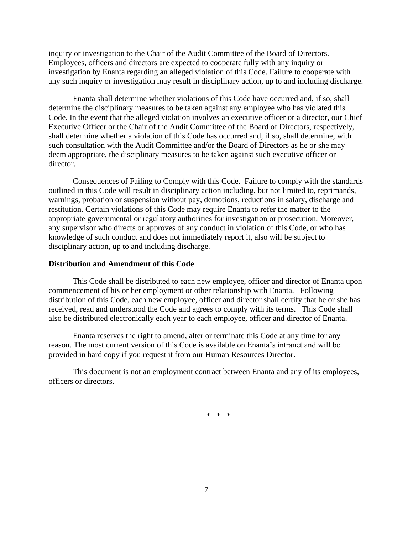inquiry or investigation to the Chair of the Audit Committee of the Board of Directors. Employees, officers and directors are expected to cooperate fully with any inquiry or investigation by Enanta regarding an alleged violation of this Code. Failure to cooperate with any such inquiry or investigation may result in disciplinary action, up to and including discharge.

Enanta shall determine whether violations of this Code have occurred and, if so, shall determine the disciplinary measures to be taken against any employee who has violated this Code. In the event that the alleged violation involves an executive officer or a director, our Chief Executive Officer or the Chair of the Audit Committee of the Board of Directors, respectively, shall determine whether a violation of this Code has occurred and, if so, shall determine, with such consultation with the Audit Committee and/or the Board of Directors as he or she may deem appropriate, the disciplinary measures to be taken against such executive officer or director.

Consequences of Failing to Comply with this Code. Failure to comply with the standards outlined in this Code will result in disciplinary action including, but not limited to, reprimands, warnings, probation or suspension without pay, demotions, reductions in salary, discharge and restitution. Certain violations of this Code may require Enanta to refer the matter to the appropriate governmental or regulatory authorities for investigation or prosecution. Moreover, any supervisor who directs or approves of any conduct in violation of this Code, or who has knowledge of such conduct and does not immediately report it, also will be subject to disciplinary action, up to and including discharge.

#### **Distribution and Amendment of this Code**

This Code shall be distributed to each new employee, officer and director of Enanta upon commencement of his or her employment or other relationship with Enanta. Following distribution of this Code, each new employee, officer and director shall certify that he or she has received, read and understood the Code and agrees to comply with its terms. This Code shall also be distributed electronically each year to each employee, officer and director of Enanta.

Enanta reserves the right to amend, alter or terminate this Code at any time for any reason. The most current version of this Code is available on Enanta's intranet and will be provided in hard copy if you request it from our Human Resources Director.

This document is not an employment contract between Enanta and any of its employees, officers or directors.

\* \* \*